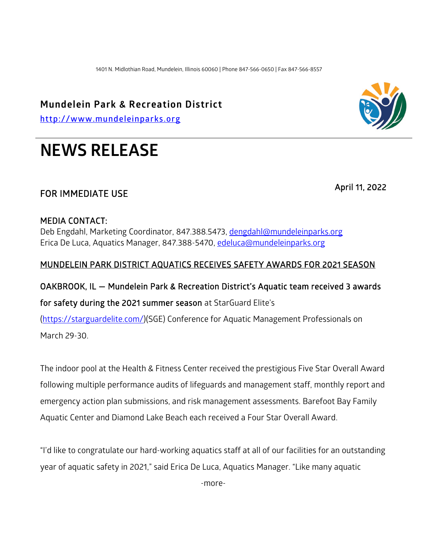1401 N. Midlothian Road, Mundelein, Illinois 60060 | Phone 847-566-0650 | Fax 847-566-8557

### **Mundelein Park & Recreation District**

**[http://www.mundeleinparks.org](http://www.mundeleinparks.org/)**

# **NEWS RELEASE**

## FOR IMMEDIATE USE April 11, 2022

#### MEDIA CONTACT:

Deb Engdahl, Marketing Coordinator, 847.388.5473, [dengdahl@mundeleinparks.org](mailto:dengdahl@mundeleinparks.org)  Erica De Luca, Aquatics Manager, 847.388-5470, [edeluca@mundeleinparks.org](mailto:edeluca@mundeleinparks.org) 

#### MUNDELEIN PARK DISTRICT AQUATICS RECEIVES SAFETY AWARDS FOR 2021 SEASON

#### OAKBROOK, IL — Mundelein Park & Recreation District's Aquatic team received 3 awards

#### for safety during the 2021 summer season at StarGuard Elite's

[\(https://starguardelite.com/\)](https://starguardelite.com/)(SGE) Conference for Aquatic Management Professionals on

March 29-30.

The indoor pool at the Health & Fitness Center received the prestigious Five Star Overall Award following multiple performance audits of lifeguards and management staff, monthly report and emergency action plan submissions, and risk management assessments. Barefoot Bay Family Aquatic Center and Diamond Lake Beach each received a Four Star Overall Award.

"I'd like to congratulate our hard-working aquatics staff at all of our facilities for an outstanding year of aquatic safety in 2021," said Erica De Luca, Aquatics Manager. "Like many aquatic

-more-

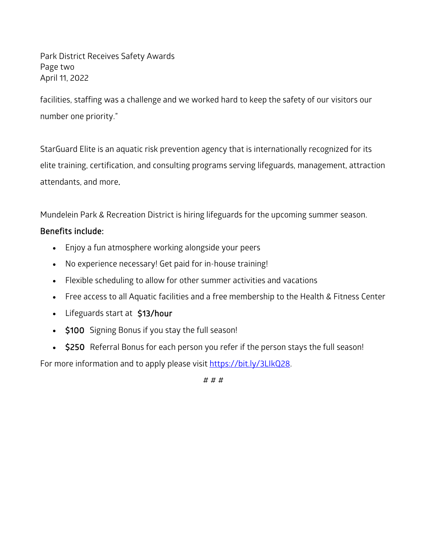Park District Receives Safety Awards Page two April 11, 2022

facilities, staffing was a challenge and we worked hard to keep the safety of our visitors our number one priority."

StarGuard Elite is an aquatic risk prevention agency that is internationally recognized for its elite training, certification, and consulting programs serving lifeguards, management, attraction attendants, and more.

Mundelein Park & Recreation District is hiring lifeguards for the upcoming summer season.

#### Benefits include:

- Enjoy a fun atmosphere working alongside your peers
- No experience necessary! Get paid for in-house training!
- Flexible scheduling to allow for other summer activities and vacations
- Free access to all Aquatic facilities and a free membership to the Health & Fitness Center
- Lifeguards start at \$13/hour
- \$100 Signing Bonus if you stay the full season!
- \$250 Referral Bonus for each person you refer if the person stays the full season!

For more information and to apply please visit [https://bit.ly/3LIkQ28.](https://bit.ly/3LIkQ28)

# # #